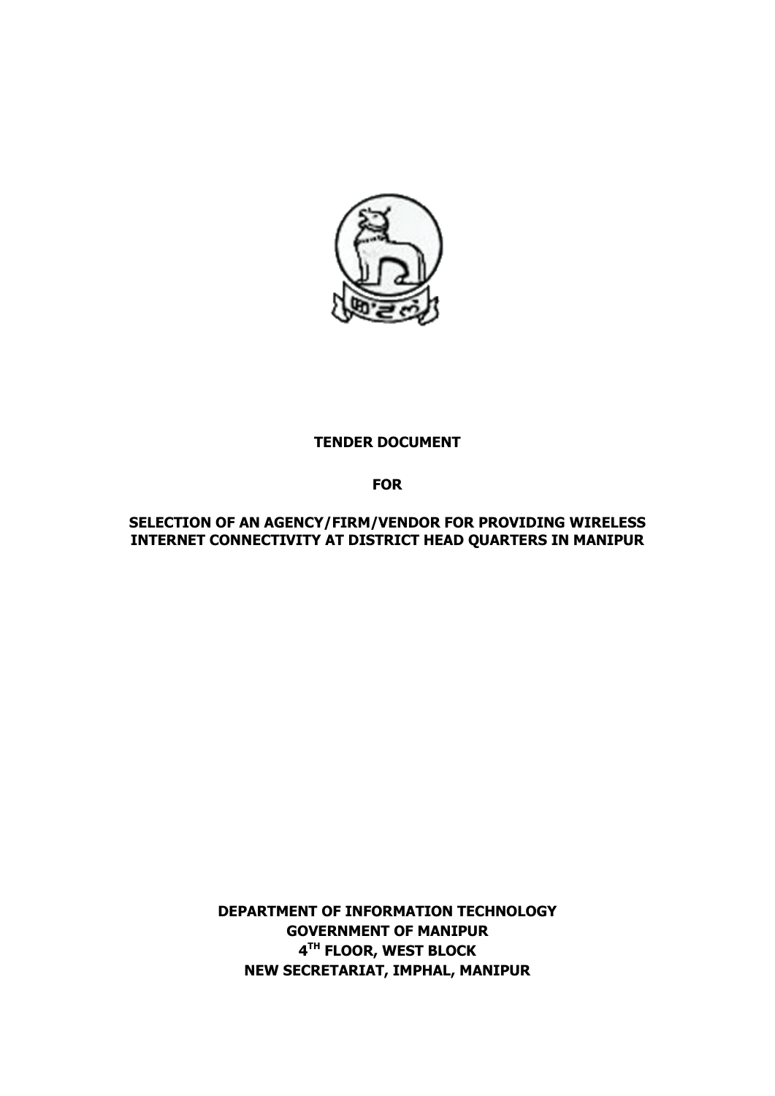

#### **TENDER DOCUMENT**

**FOR**

**SELECTION OF AN AGENCY/FIRM/VENDOR FOR PROVIDING WIRELESS INTERNET CONNECTIVITY AT DISTRICT HEAD QUARTERS IN MANIPUR**

> **DEPARTMENT OF INFORMATION TECHNOLOGY GOVERNMENT OF MANIPUR 4 TH FLOOR, WEST BLOCK NEW SECRETARIAT, IMPHAL, MANIPUR**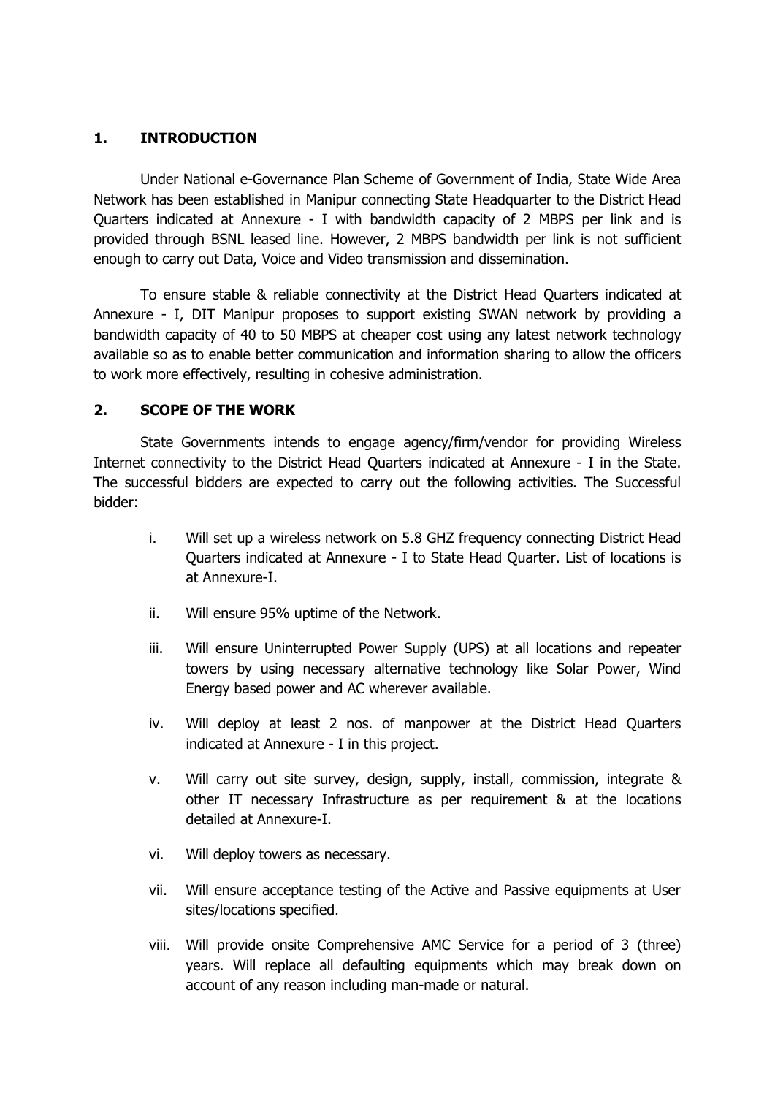### **1. INTRODUCTION**

Under National e-Governance Plan Scheme of Government of India, State Wide Area Network has been established in Manipur connecting State Headquarter to the District Head Quarters indicated at Annexure - I with bandwidth capacity of 2 MBPS per link and is provided through BSNL leased line. However, 2 MBPS bandwidth per link is not sufficient enough to carry out Data, Voice and Video transmission and dissemination.

To ensure stable & reliable connectivity at the District Head Quarters indicated at Annexure - I, DIT Manipur proposes to support existing SWAN network by providing a bandwidth capacity of 40 to 50 MBPS at cheaper cost using any latest network technology available so as to enable better communication and information sharing to allow the officers to work more effectively, resulting in cohesive administration.

### **2. SCOPE OF THE WORK**

State Governments intends to engage agency/firm/vendor for providing Wireless Internet connectivity to the District Head Quarters indicated at Annexure - I in the State. The successful bidders are expected to carry out the following activities. The Successful bidder:

- i. Will set up a wireless network on 5.8 GHZ frequency connecting District Head Quarters indicated at Annexure - I to State Head Quarter. List of locations is at Annexure-I.
- ii. Will ensure 95% uptime of the Network.
- iii. Will ensure Uninterrupted Power Supply (UPS) at all locations and repeater towers by using necessary alternative technology like Solar Power, Wind Energy based power and AC wherever available.
- iv. Will deploy at least 2 nos. of manpower at the District Head Quarters indicated at Annexure - I in this project.
- v. Will carry out site survey, design, supply, install, commission, integrate & other IT necessary Infrastructure as per requirement & at the locations detailed at Annexure-I.
- vi. Will deploy towers as necessary.
- vii. Will ensure acceptance testing of the Active and Passive equipments at User sites/locations specified.
- viii. Will provide onsite Comprehensive AMC Service for a period of 3 (three) years. Will replace all defaulting equipments which may break down on account of any reason including man-made or natural.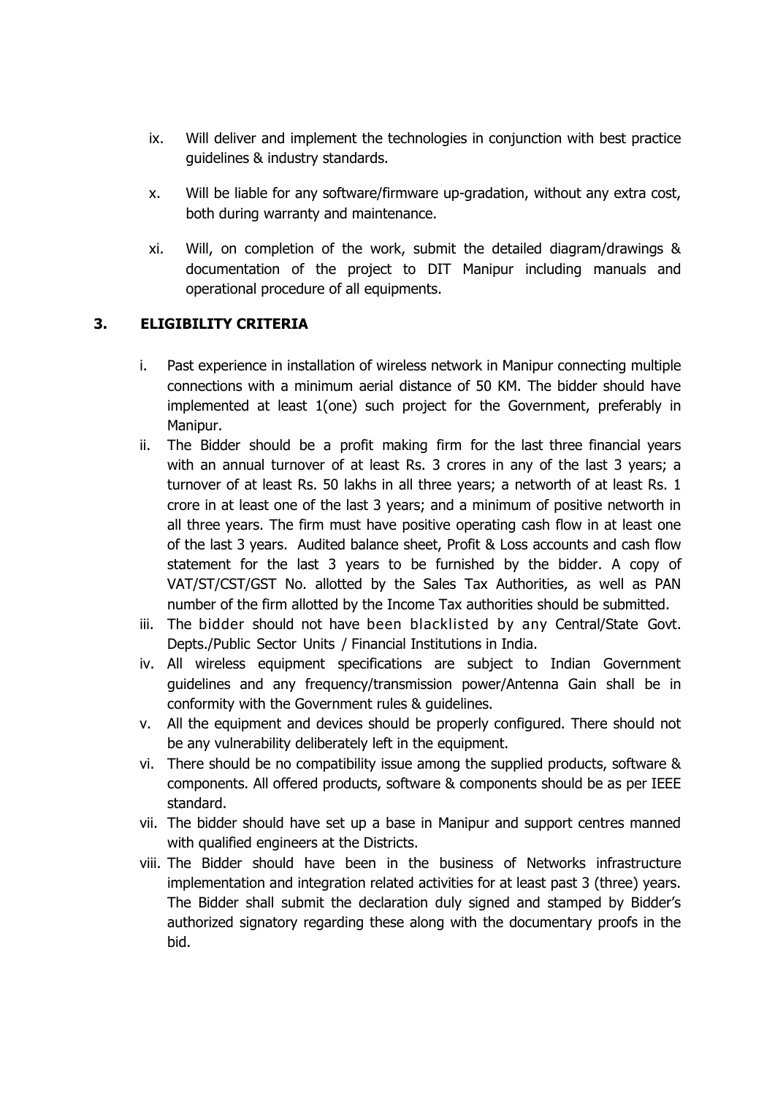- ix. Will deliver and implement the technologies in conjunction with best practice guidelines & industry standards.
- x. Will be liable for any software/firmware up-gradation, without any extra cost, both during warranty and maintenance.
- xi. Will, on completion of the work, submit the detailed diagram/drawings & documentation of the project to DIT Manipur including manuals and operational procedure of all equipments.

### **3. ELIGIBILITY CRITERIA**

- i. Past experience in installation of wireless network in Manipur connecting multiple connections with a minimum aerial distance of 50 KM. The bidder should have implemented at least 1(one) such project for the Government, preferably in Manipur.
- ii. The Bidder should be a profit making firm for the last three financial years with an annual turnover of at least Rs. 3 crores in any of the last 3 years; a turnover of at least Rs. 50 lakhs in all three years; a networth of at least Rs. 1 crore in at least one of the last 3 years; and a minimum of positive networth in all three years. The firm must have positive operating cash flow in at least one of the last 3 years. Audited balance sheet, Profit & Loss accounts and cash flow statement for the last 3 years to be furnished by the bidder. A copy of VAT/ST/CST/GST No. allotted by the Sales Tax Authorities, as well as PAN number of the firm allotted by the Income Tax authorities should be submitted.
- iii. The bidder should not have been blacklisted by any Central/State Govt. Depts./Public Sector Units / Financial Institutions in India.
- iv. All wireless equipment specifications are subject to Indian Government guidelines and any frequency/transmission power/Antenna Gain shall be in conformity with the Government rules & guidelines.
- v. All the equipment and devices should be properly configured. There should not be any vulnerability deliberately left in the equipment.
- vi. There should be no compatibility issue among the supplied products, software & components. All offered products, software & components should be as per IEEE standard.
- vii. The bidder should have set up a base in Manipur and support centres manned with qualified engineers at the Districts.
- viii. The Bidder should have been in the business of Networks infrastructure implementation and integration related activities for at least past 3 (three) years. The Bidder shall submit the declaration duly signed and stamped by Bidder's authorized signatory regarding these along with the documentary proofs in the bid.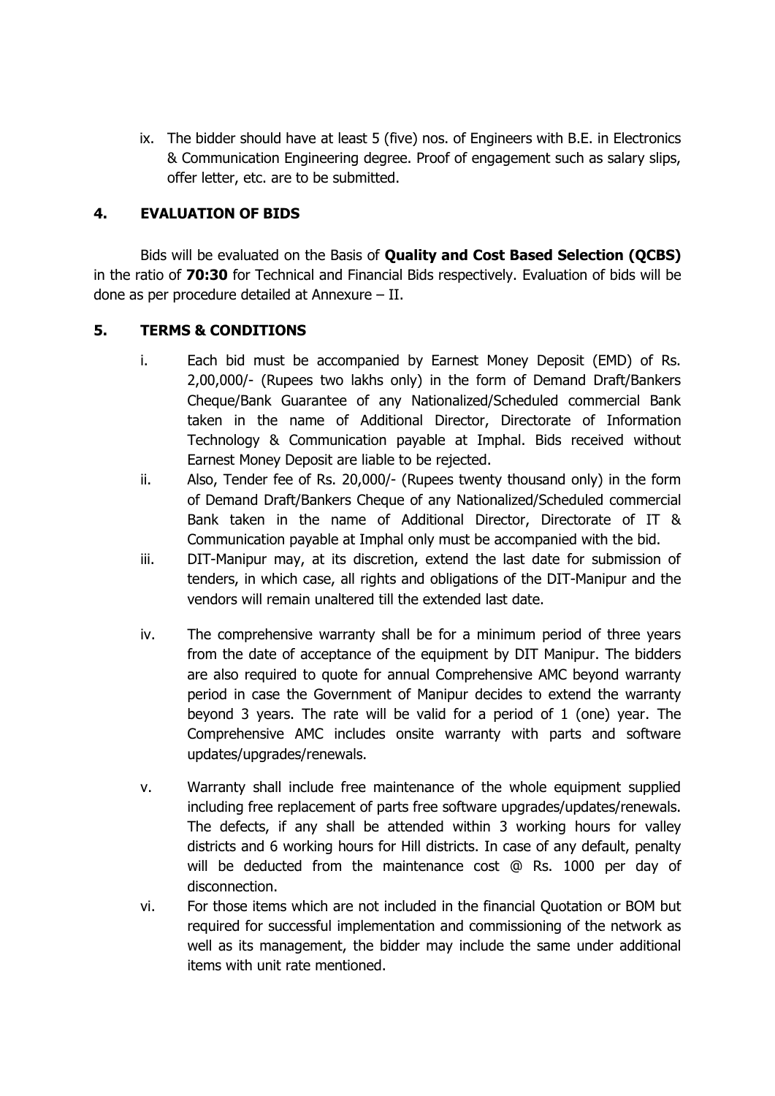ix. The bidder should have at least 5 (five) nos. of Engineers with B.E. in Electronics & Communication Engineering degree. Proof of engagement such as salary slips, offer letter, etc. are to be submitted.

#### **4. EVALUATION OF BIDS**

Bids will be evaluated on the Basis of **Quality and Cost Based Selection (QCBS)** in the ratio of **70:30** for Technical and Financial Bids respectively. Evaluation of bids will be done as per procedure detailed at Annexure – II.

#### **5. TERMS & CONDITIONS**

- i. Each bid must be accompanied by Earnest Money Deposit (EMD) of Rs. 2,00,000/- (Rupees two lakhs only) in the form of Demand Draft/Bankers Cheque/Bank Guarantee of any Nationalized/Scheduled commercial Bank taken in the name of Additional Director, Directorate of Information Technology & Communication payable at Imphal. Bids received without Earnest Money Deposit are liable to be rejected.
- ii. Also, Tender fee of Rs. 20,000/- (Rupees twenty thousand only) in the form of Demand Draft/Bankers Cheque of any Nationalized/Scheduled commercial Bank taken in the name of Additional Director, Directorate of IT & Communication payable at Imphal only must be accompanied with the bid.
- iii. DIT-Manipur may, at its discretion, extend the last date for submission of tenders, in which case, all rights and obligations of the DIT-Manipur and the vendors will remain unaltered till the extended last date.
- iv. The comprehensive warranty shall be for a minimum period of three years from the date of acceptance of the equipment by DIT Manipur. The bidders are also required to quote for annual Comprehensive AMC beyond warranty period in case the Government of Manipur decides to extend the warranty beyond 3 years. The rate will be valid for a period of 1 (one) year. The Comprehensive AMC includes onsite warranty with parts and software updates/upgrades/renewals.
- v. Warranty shall include free maintenance of the whole equipment supplied including free replacement of parts free software upgrades/updates/renewals. The defects, if any shall be attended within 3 working hours for valley districts and 6 working hours for Hill districts. In case of any default, penalty will be deducted from the maintenance cost @ Rs. 1000 per day of disconnection.
- vi. For those items which are not included in the financial Quotation or BOM but required for successful implementation and commissioning of the network as well as its management, the bidder may include the same under additional items with unit rate mentioned.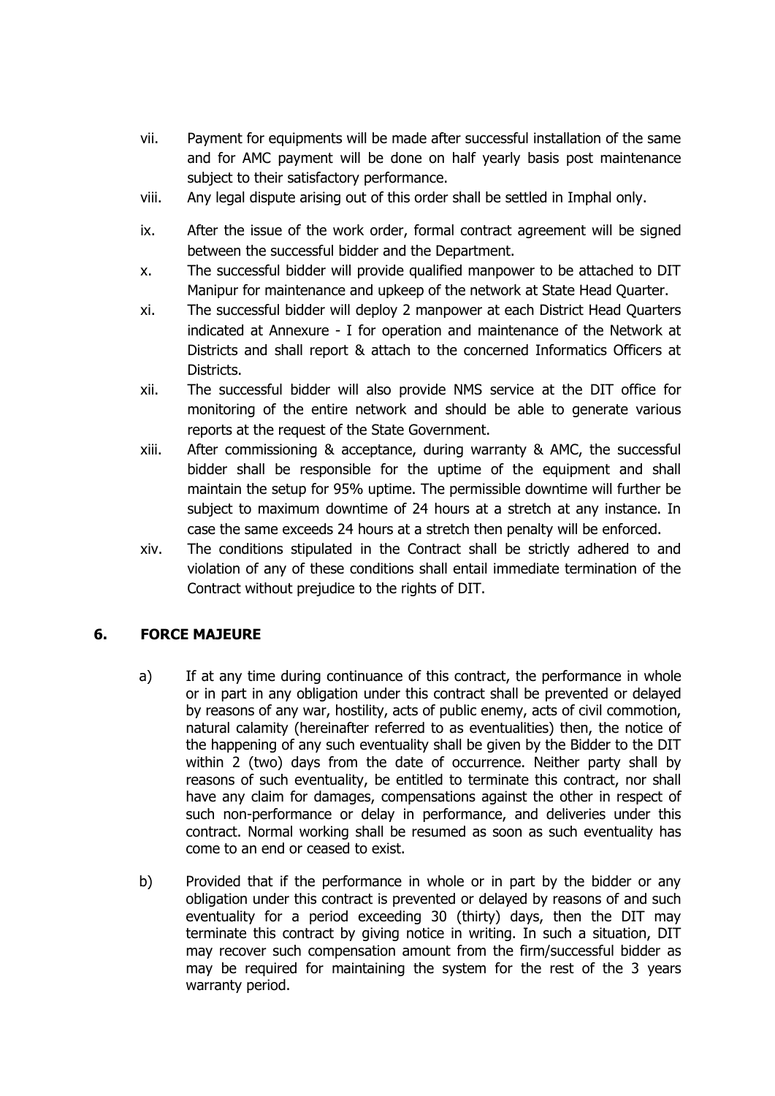- vii. Payment for equipments will be made after successful installation of the same and for AMC payment will be done on half yearly basis post maintenance subject to their satisfactory performance.
- viii. Any legal dispute arising out of this order shall be settled in Imphal only.
- ix. After the issue of the work order, formal contract agreement will be signed between the successful bidder and the Department.
- x. The successful bidder will provide qualified manpower to be attached to DIT Manipur for maintenance and upkeep of the network at State Head Quarter.
- xi. The successful bidder will deploy 2 manpower at each District Head Quarters indicated at Annexure - I for operation and maintenance of the Network at Districts and shall report & attach to the concerned Informatics Officers at Districts.
- xii. The successful bidder will also provide NMS service at the DIT office for monitoring of the entire network and should be able to generate various reports at the request of the State Government.
- xiii. After commissioning & acceptance, during warranty & AMC, the successful bidder shall be responsible for the uptime of the equipment and shall maintain the setup for 95% uptime. The permissible downtime will further be subject to maximum downtime of 24 hours at a stretch at any instance. In case the same exceeds 24 hours at a stretch then penalty will be enforced.
- xiv. The conditions stipulated in the Contract shall be strictly adhered to and violation of any of these conditions shall entail immediate termination of the Contract without prejudice to the rights of DIT.

# **6. FORCE MAJEURE**

- a) If at any time during continuance of this contract, the performance in whole or in part in any obligation under this contract shall be prevented or delayed by reasons of any war, hostility, acts of public enemy, acts of civil commotion, natural calamity (hereinafter referred to as eventualities) then, the notice of the happening of any such eventuality shall be given by the Bidder to the DIT within 2 (two) days from the date of occurrence. Neither party shall by reasons of such eventuality, be entitled to terminate this contract, nor shall have any claim for damages, compensations against the other in respect of such non-performance or delay in performance, and deliveries under this contract. Normal working shall be resumed as soon as such eventuality has come to an end or ceased to exist.
- b) Provided that if the performance in whole or in part by the bidder or any obligation under this contract is prevented or delayed by reasons of and such eventuality for a period exceeding 30 (thirty) days, then the DIT may terminate this contract by giving notice in writing. In such a situation, DIT may recover such compensation amount from the firm/successful bidder as may be required for maintaining the system for the rest of the 3 years warranty period.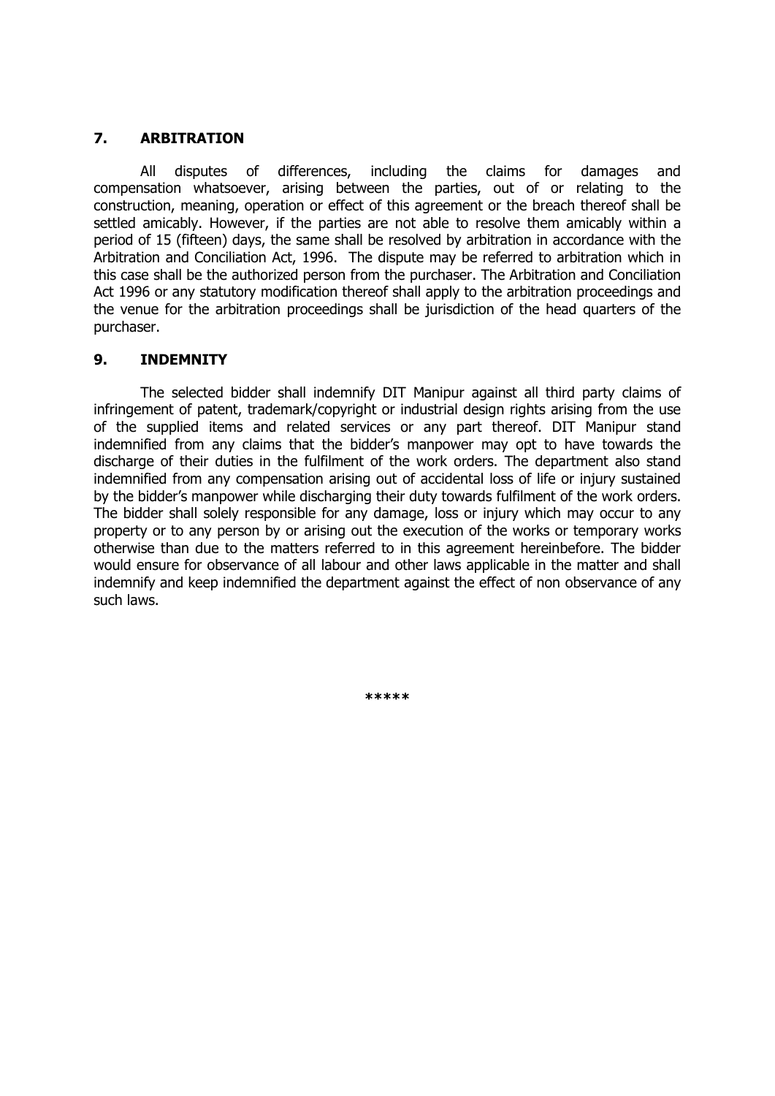#### **7. ARBITRATION**

All disputes of differences, including the claims for damages and compensation whatsoever, arising between the parties, out of or relating to the construction, meaning, operation or effect of this agreement or the breach thereof shall be settled amicably. However, if the parties are not able to resolve them amicably within a period of 15 (fifteen) days, the same shall be resolved by arbitration in accordance with the Arbitration and Conciliation Act, 1996. The dispute may be referred to arbitration which in this case shall be the authorized person from the purchaser. The Arbitration and Conciliation Act 1996 or any statutory modification thereof shall apply to the arbitration proceedings and the venue for the arbitration proceedings shall be jurisdiction of the head quarters of the purchaser.

#### **9. INDEMNITY**

The selected bidder shall indemnify DIT Manipur against all third party claims of infringement of patent, trademark/copyright or industrial design rights arising from the use of the supplied items and related services or any part thereof. DIT Manipur stand indemnified from any claims that the bidder's manpower may opt to have towards the discharge of their duties in the fulfilment of the work orders. The department also stand indemnified from any compensation arising out of accidental loss of life or injury sustained by the bidder's manpower while discharging their duty towards fulfilment of the work orders. The bidder shall solely responsible for any damage, loss or injury which may occur to any property or to any person by or arising out the execution of the works or temporary works otherwise than due to the matters referred to in this agreement hereinbefore. The bidder would ensure for observance of all labour and other laws applicable in the matter and shall indemnify and keep indemnified the department against the effect of non observance of any such laws.

**\*\*\*\*\***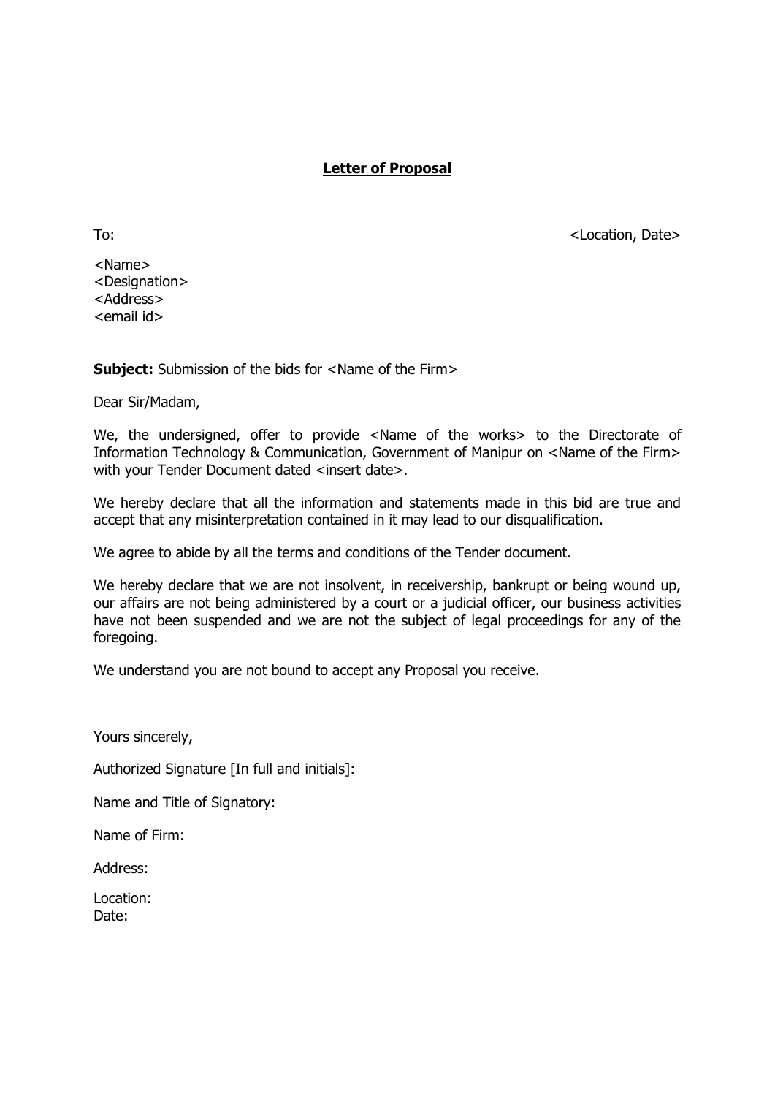### **Letter of Proposal**

<Name> <Designation> <Address> <email id>

**Subject:** Submission of the bids for <Name of the Firm>

Dear Sir/Madam,

We, the undersigned, offer to provide <Name of the works> to the Directorate of Information Technology & Communication, Government of Manipur on <Name of the Firm> with your Tender Document dated <insert date>.

We hereby declare that all the information and statements made in this bid are true and accept that any misinterpretation contained in it may lead to our disqualification.

We agree to abide by all the terms and conditions of the Tender document.

We hereby declare that we are not insolvent, in receivership, bankrupt or being wound up, our affairs are not being administered by a court or a judicial officer, our business activities have not been suspended and we are not the subject of legal proceedings for any of the foregoing.

We understand you are not bound to accept any Proposal you receive.

Yours sincerely,

Authorized Signature [In full and initials]:

Name and Title of Signatory:

Name of Firm:

Address:

Location: Date:

To: <contraction, Date></contraction, Date></contraction, Date>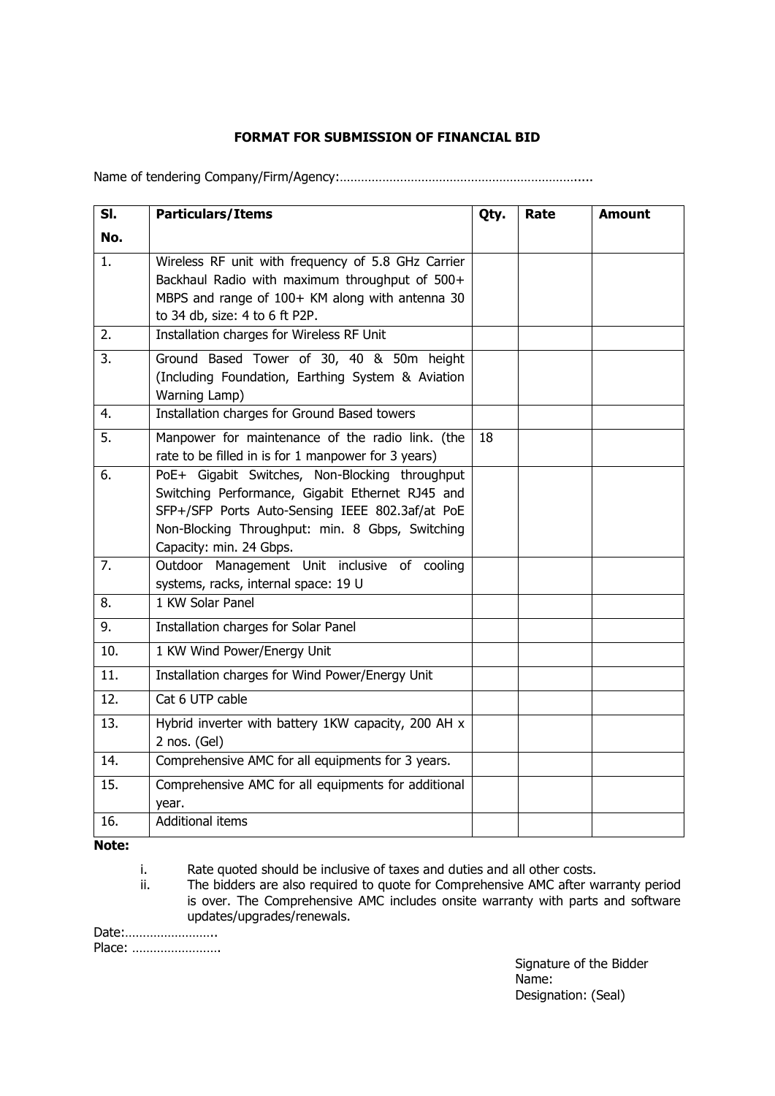## **FORMAT FOR SUBMISSION OF FINANCIAL BID**

Name of tendering Company/Firm/Agency:………………………………………………………….....

| SI. | <b>Particulars/Items</b>                                                                                                                                                                                                            | Qty. | Rate | <b>Amount</b> |
|-----|-------------------------------------------------------------------------------------------------------------------------------------------------------------------------------------------------------------------------------------|------|------|---------------|
| No. |                                                                                                                                                                                                                                     |      |      |               |
| 1.  | Wireless RF unit with frequency of 5.8 GHz Carrier<br>Backhaul Radio with maximum throughput of 500+<br>MBPS and range of 100+ KM along with antenna 30<br>to 34 db, size: 4 to 6 ft P2P.                                           |      |      |               |
| 2.  | Installation charges for Wireless RF Unit                                                                                                                                                                                           |      |      |               |
| 3.  | Ground Based Tower of 30, 40 & 50m height<br>(Including Foundation, Earthing System & Aviation<br>Warning Lamp)                                                                                                                     |      |      |               |
| 4.  | Installation charges for Ground Based towers                                                                                                                                                                                        |      |      |               |
| 5.  | Manpower for maintenance of the radio link. (the<br>rate to be filled in is for 1 manpower for 3 years)                                                                                                                             | 18   |      |               |
| 6.  | PoE+ Gigabit Switches, Non-Blocking throughput<br>Switching Performance, Gigabit Ethernet RJ45 and<br>SFP+/SFP Ports Auto-Sensing IEEE 802.3af/at PoE<br>Non-Blocking Throughput: min. 8 Gbps, Switching<br>Capacity: min. 24 Gbps. |      |      |               |
| 7.  | Outdoor Management Unit inclusive of cooling<br>systems, racks, internal space: 19 U                                                                                                                                                |      |      |               |
| 8.  | 1 KW Solar Panel                                                                                                                                                                                                                    |      |      |               |
| 9.  | Installation charges for Solar Panel                                                                                                                                                                                                |      |      |               |
| 10. | 1 KW Wind Power/Energy Unit                                                                                                                                                                                                         |      |      |               |
| 11. | Installation charges for Wind Power/Energy Unit                                                                                                                                                                                     |      |      |               |
| 12. | Cat 6 UTP cable                                                                                                                                                                                                                     |      |      |               |
| 13. | Hybrid inverter with battery 1KW capacity, 200 AH x<br>2 nos. (Gel)                                                                                                                                                                 |      |      |               |
| 14. | Comprehensive AMC for all equipments for 3 years.                                                                                                                                                                                   |      |      |               |
| 15. | Comprehensive AMC for all equipments for additional<br>year.                                                                                                                                                                        |      |      |               |
| 16. | <b>Additional items</b>                                                                                                                                                                                                             |      |      |               |

#### **Note:**

i. Rate quoted should be inclusive of taxes and duties and all other costs.

ii. The bidders are also required to quote for Comprehensive AMC after warranty period is over. The Comprehensive AMC includes onsite warranty with parts and software updates/upgrades/renewals.

Date:…………………….. Place: …………………….

Signature of the Bidder Name: Designation: (Seal)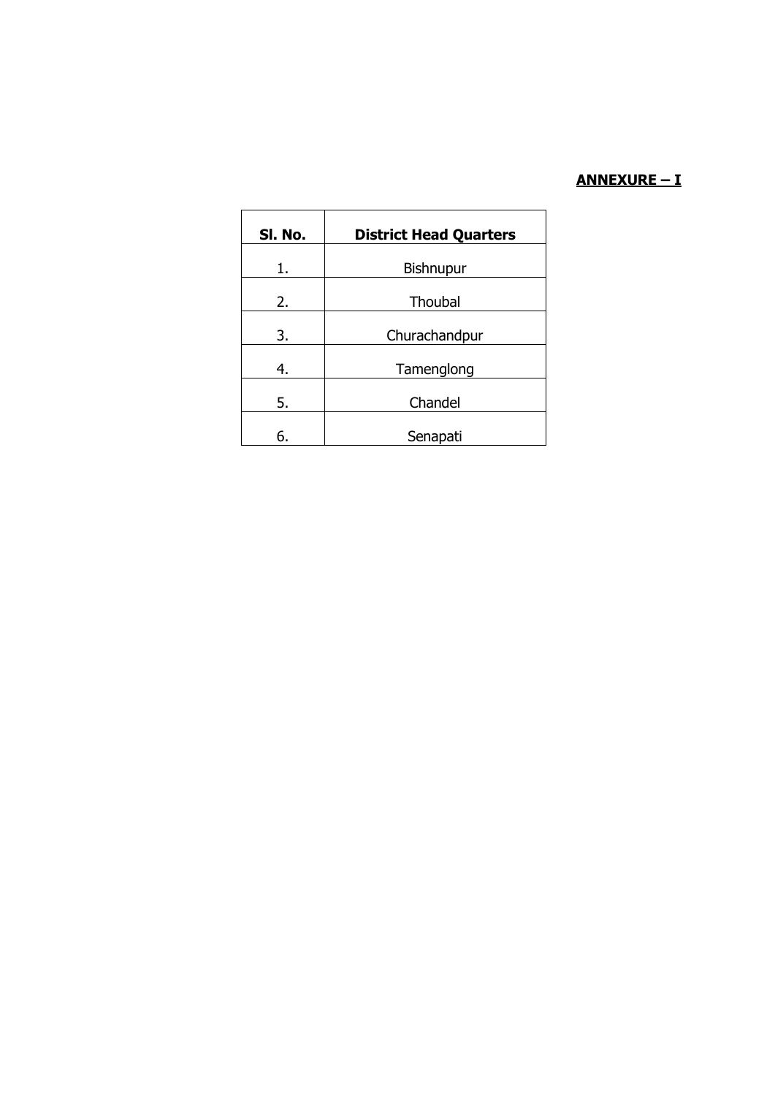# **ANNEXURE – I**

| SI. No. | <b>District Head Quarters</b> |  |  |
|---------|-------------------------------|--|--|
| 1.      | Bishnupur                     |  |  |
| 2.      | Thoubal                       |  |  |
| 3.      | Churachandpur                 |  |  |
| 4.      | Tamenglong                    |  |  |
| 5.      | Chandel                       |  |  |
| 6.      | Senapati                      |  |  |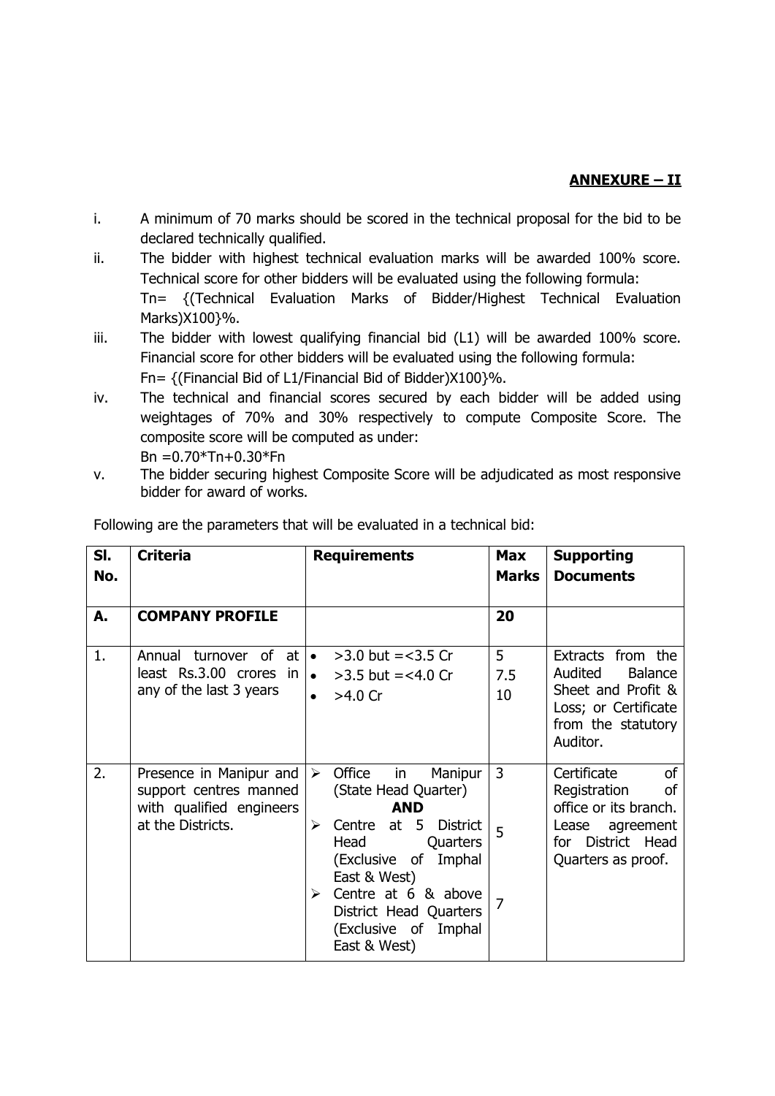# **ANNEXURE – II**

- i. A minimum of 70 marks should be scored in the technical proposal for the bid to be declared technically qualified.
- ii. The bidder with highest technical evaluation marks will be awarded 100% score. Technical score for other bidders will be evaluated using the following formula: Tn= {(Technical Evaluation Marks of Bidder/Highest Technical Evaluation Marks)X100}%.
- iii. The bidder with lowest qualifying financial bid (L1) will be awarded 100% score. Financial score for other bidders will be evaluated using the following formula: Fn= {(Financial Bid of L1/Financial Bid of Bidder)X100}%.
- iv. The technical and financial scores secured by each bidder will be added using weightages of 70% and 30% respectively to compute Composite Score. The composite score will be computed as under: Bn  $= 0.70*Tn+0.30*Fn$
- v. The bidder securing highest Composite Score will be adjudicated as most responsive bidder for award of works.

| SI.<br>No. | <b>Criteria</b>                                                                                    | <b>Requirements</b>                                                                                                                                                                                                                                                                                | <b>Max</b><br><b>Marks</b> | <b>Supporting</b><br><b>Documents</b>                                                                                             |
|------------|----------------------------------------------------------------------------------------------------|----------------------------------------------------------------------------------------------------------------------------------------------------------------------------------------------------------------------------------------------------------------------------------------------------|----------------------------|-----------------------------------------------------------------------------------------------------------------------------------|
| А.         | <b>COMPANY PROFILE</b>                                                                             |                                                                                                                                                                                                                                                                                                    | 20                         |                                                                                                                                   |
| 1.         | Annual turnover of at<br>least Rs.3.00 crores in<br>any of the last 3 years                        | $>3.0$ but = < 3.5 Cr<br>$\bullet$<br>• $>3.5$ but = <4.0 Cr<br>$>4.0$ Cr<br>$\bullet$                                                                                                                                                                                                             | 5<br>7.5<br>10             | Extracts from the<br>Audited<br><b>Balance</b><br>Sheet and Profit &<br>Loss; or Certificate<br>from the statutory<br>Auditor.    |
| 2.         | Presence in Manipur and<br>support centres manned<br>with qualified engineers<br>at the Districts. | Office<br>in<br>Manipur<br>$\blacktriangleright$<br>(State Head Quarter)<br><b>AND</b><br>at $5$<br><b>District</b><br>Centre<br>➤<br>Head<br>Quarters<br>(Exclusive of<br>Imphal<br>East & West)<br>Centre at 6 & above<br>➤<br>District Head Quarters<br>(Exclusive of<br>Imphal<br>East & West) | 3<br>5                     | Certificate<br>0f<br>Registration<br>οf<br>office or its branch.<br>Lease<br>agreement<br>for District Head<br>Quarters as proof. |

Following are the parameters that will be evaluated in a technical bid: